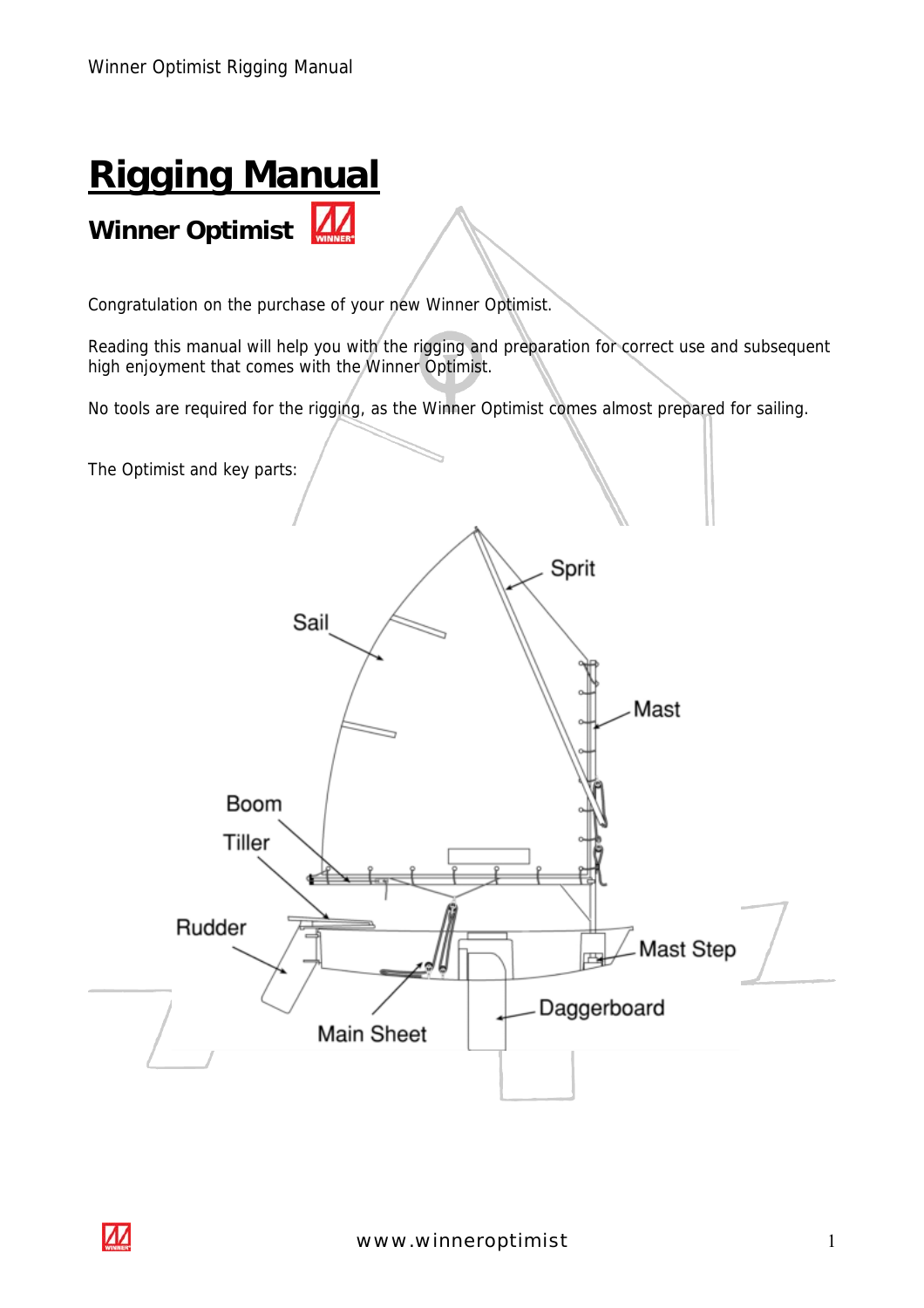# **Rigging Manual** Winner Optimist

Congratulation on the purchase of your new Winner Optimist.

Reading this manual will help you with the rigging and preparation for correct use and subsequent high enjoyment that comes with the Winner Optimist.

No tools are required for the rigging, as the Winner Optimist comes almost prepared for sailing.

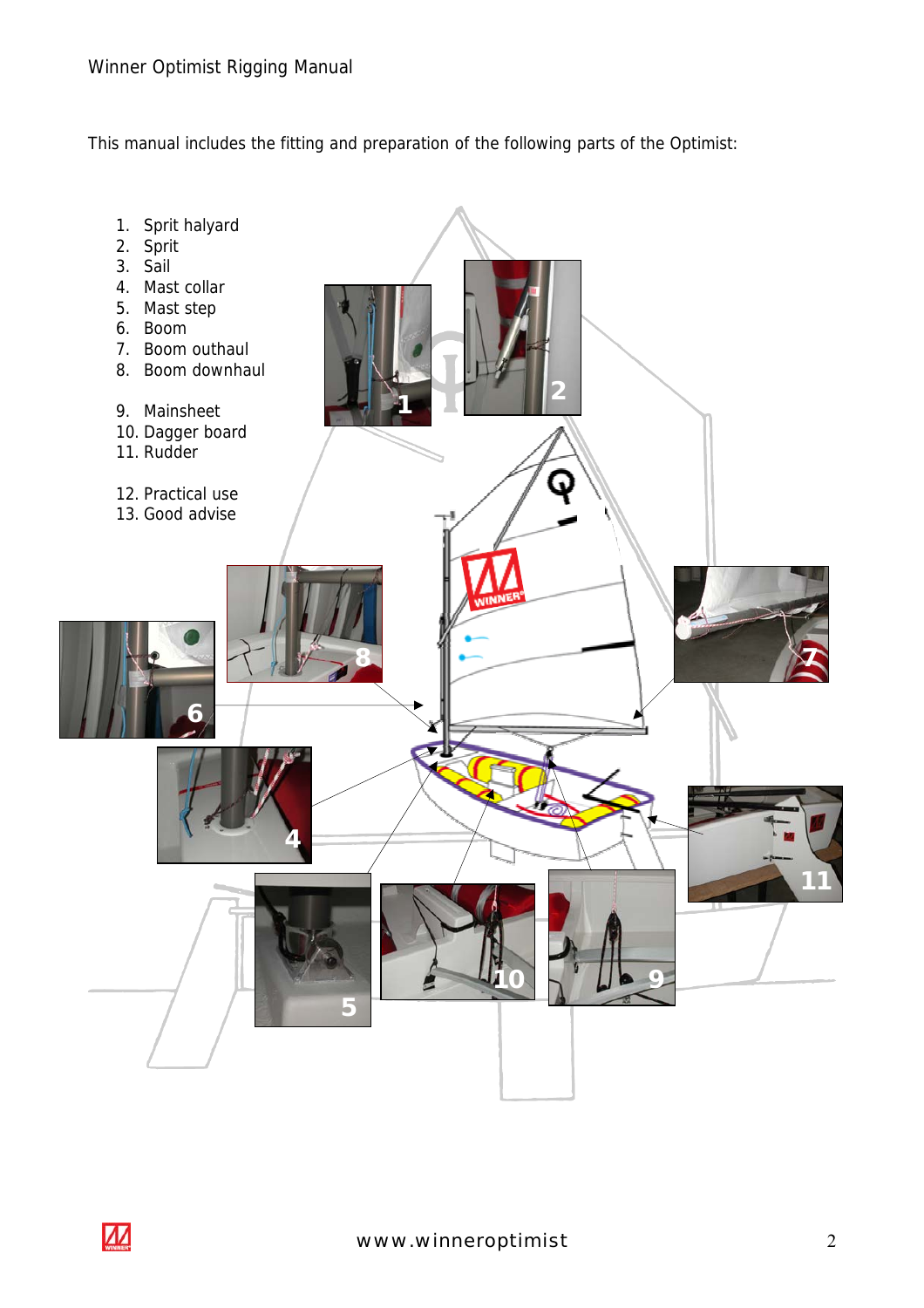This manual includes the fitting and preparation of the following parts of the Optimist:

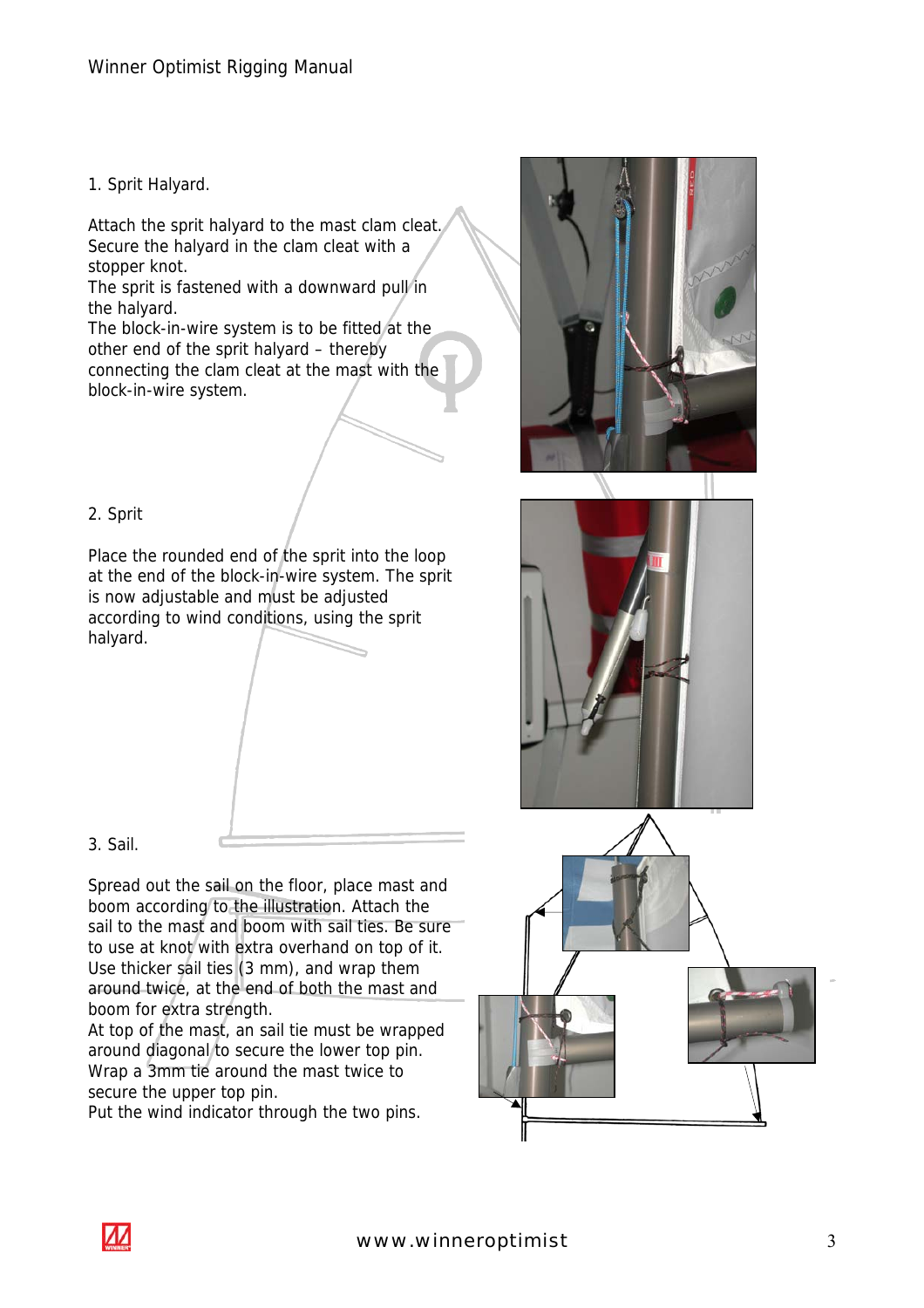1. Sprit Halyard.

Attach the sprit halyard to the mast clam cleat. Secure the halyard in the clam cleat with a stopper knot.

The sprit is fastened with a downward pull in the halyard.

The block-in-wire system is to be fitted at the other end of the sprit halyard – thereby connecting the clam cleat at the mast with the block-in-wire system.



# 2. Sprit

Place the rounded end of the sprit into the loop at the end of the block-in-wire system. The sprit is now adjustable and must be adjusted according to wind conditions, using the sprit halyard.



3. Sail.

Spread out the sail on the floor, place mast and boom according to the illustration. Attach the sail to the mast and boom with sail ties. Be sure to use at knot with extra overhand on top of it. Use thicker sail ties (3 mm), and wrap them around twice, at the end of both the mast and boom for extra strength.

At top of the mast, an sail tie must be wrapped around diagonal to secure the lower top pin. Wrap a 3mm tie around the mast twice to secure the upper top pin.

Put the wind indicator through the two pins.



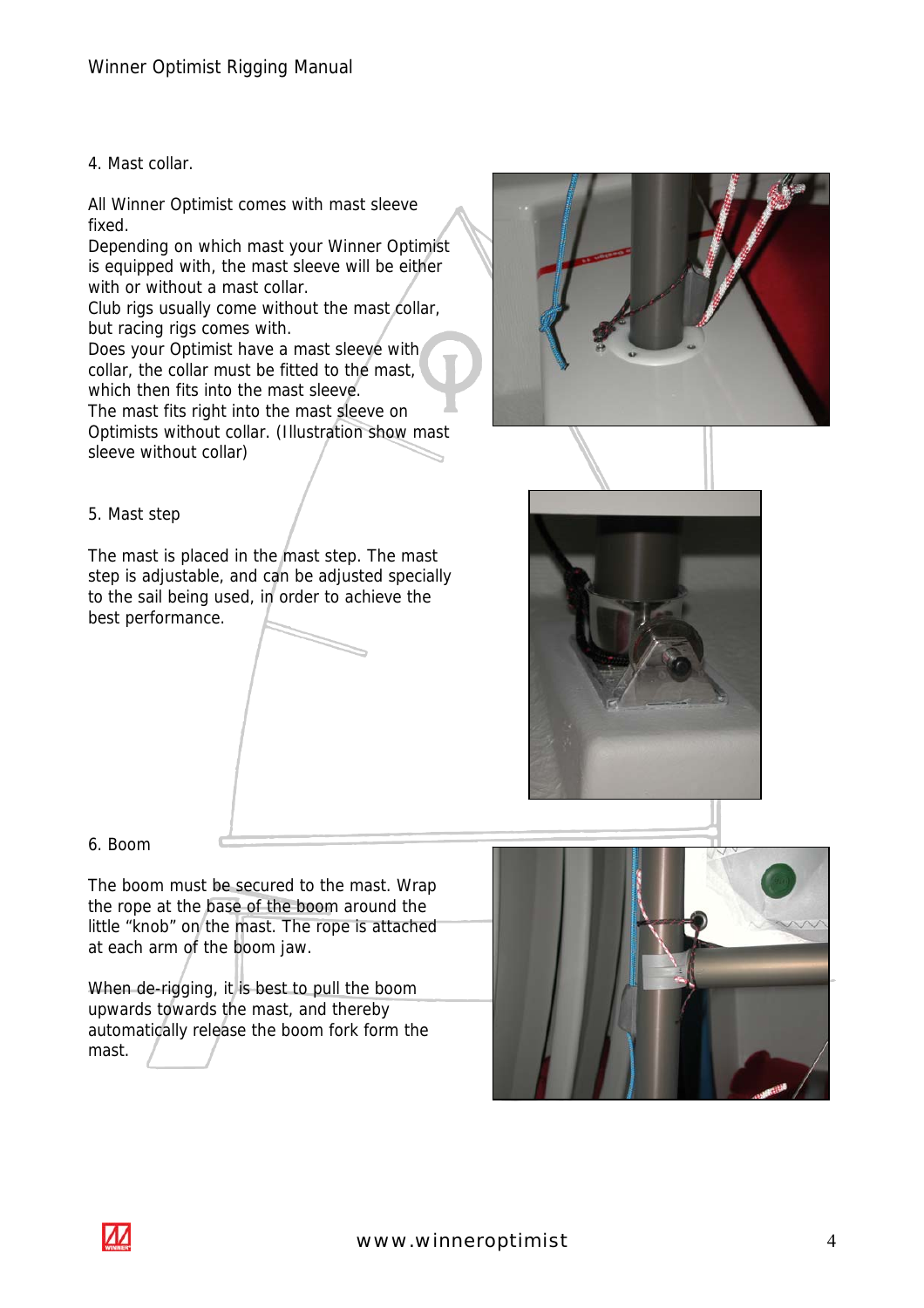#### 4. Mast collar.

All Winner Optimist comes with mast sleeve fixed.

Depending on which mast your Winner Optimist is equipped with, the mast sleeve will be either with or without a mast collar.

Club rigs usually come without the mast collar, but racing rigs comes with.

Does your Optimist have a mast sleeve with collar, the collar must be fitted to the mast, which then fits into the mast sleeve. The mast fits right into the mast sleeve on Optimists without collar. (Illustration show mast sleeve without collar)



## 5. Mast step

The mast is placed in the mast step. The mast step is adjustable, and can be adjusted specially to the sail being used, in order to achieve the best performance.



6. Boom

The boom must be secured to the mast. Wrap the rope at the base of the boom around the little "knob" on the mast. The rope is attached at each arm of the boom jaw.

When de-rigging, it is best to pull the boom upwards towards the mast, and thereby automatically release the boom fork form the mast.



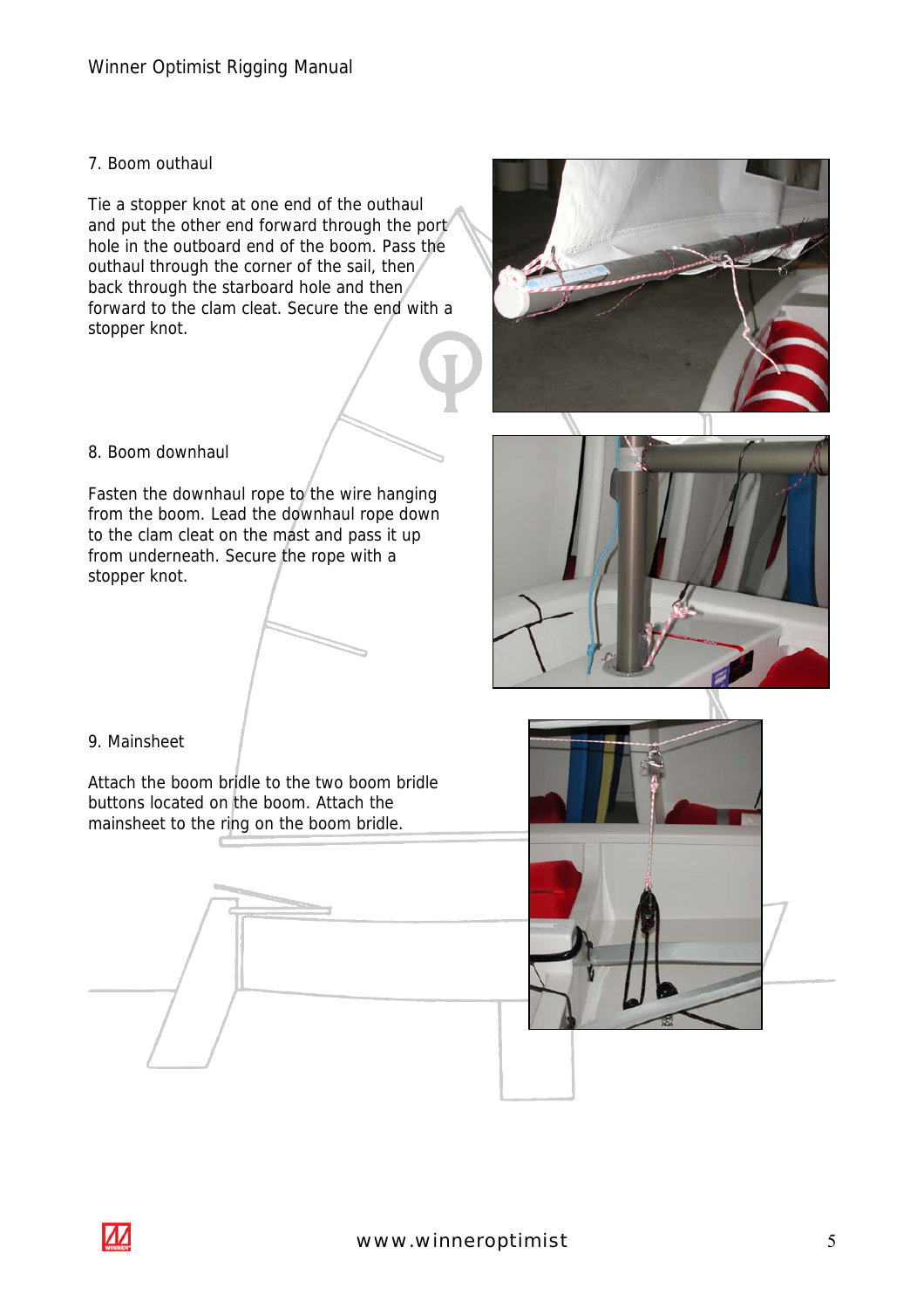# 7. Boom outhaul

Tie a stopper knot at one end of the outhaul and put the other end forward through the port hole in the outboard end of the boom. Pass the outhaul through the corner of the sail, then back through the starboard hole and then forward to the clam cleat. Secure the end with a stopper knot.



Fasten the downhaul rope to the wire hanging from the boom. Lead the downhaul rope down to the clam cleat on the mast and pass it up from underneath. Secure the rope with a stopper knot.



Attach the boom bridle to the two boom bridle buttons located on the boom. Attach the mainsheet to the ring on the boom bridle.









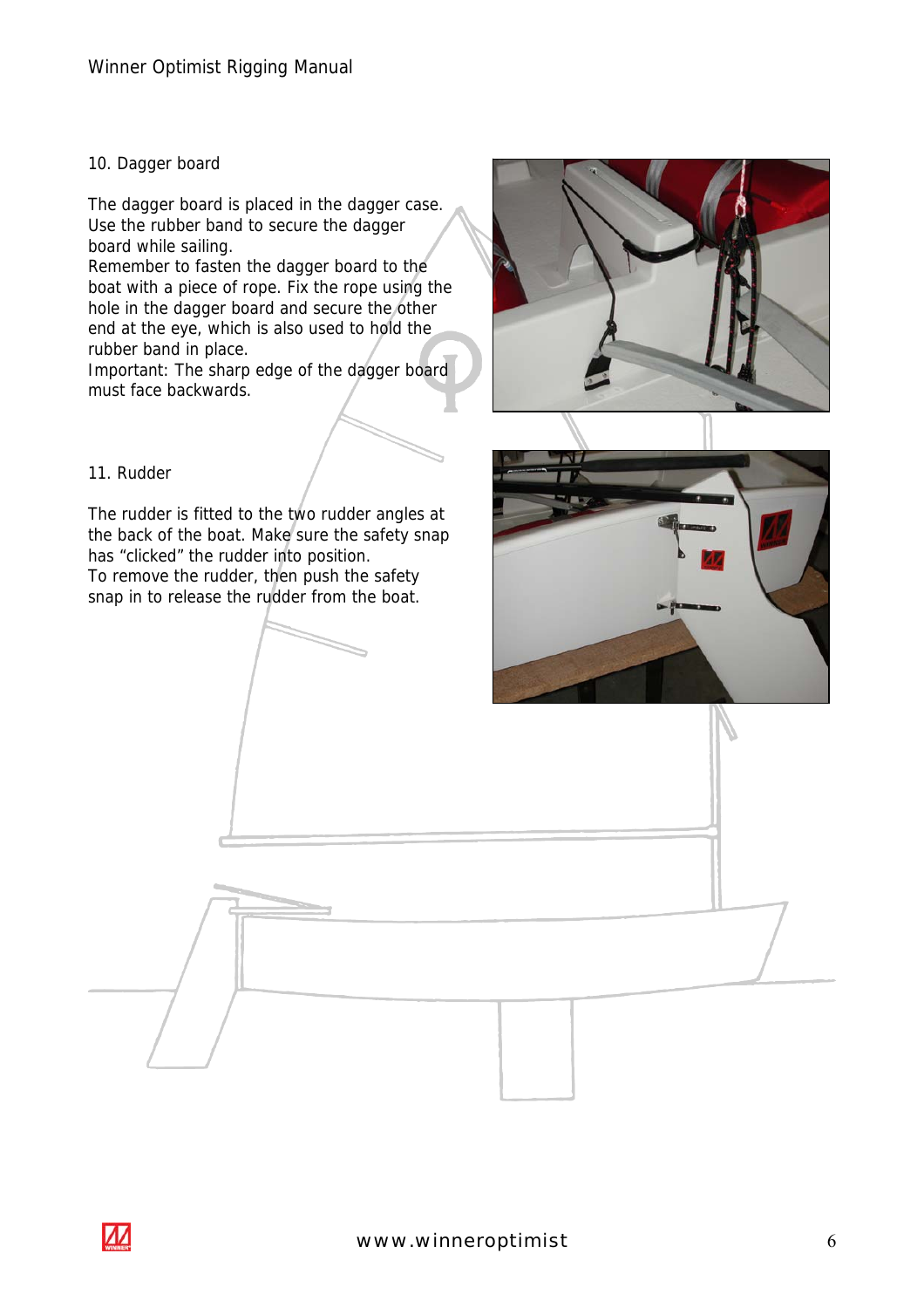#### 10. Dagger board

The dagger board is placed in the dagger case. Use the rubber band to secure the dagger board while sailing.

Remember to fasten the dagger board to the boat with a piece of rope. Fix the rope using the hole in the dagger board and secure the other end at the eye, which is also used to hold the rubber band in place.

Important: The sharp edge of the dagger board must face backwards.

#### 11. Rudder

The rudder is fitted to the two rudder angles at the back of the boat. Make sure the safety snap has "clicked" the rudder into position. To remove the rudder, then push the safety snap in to release the rudder from the boat.